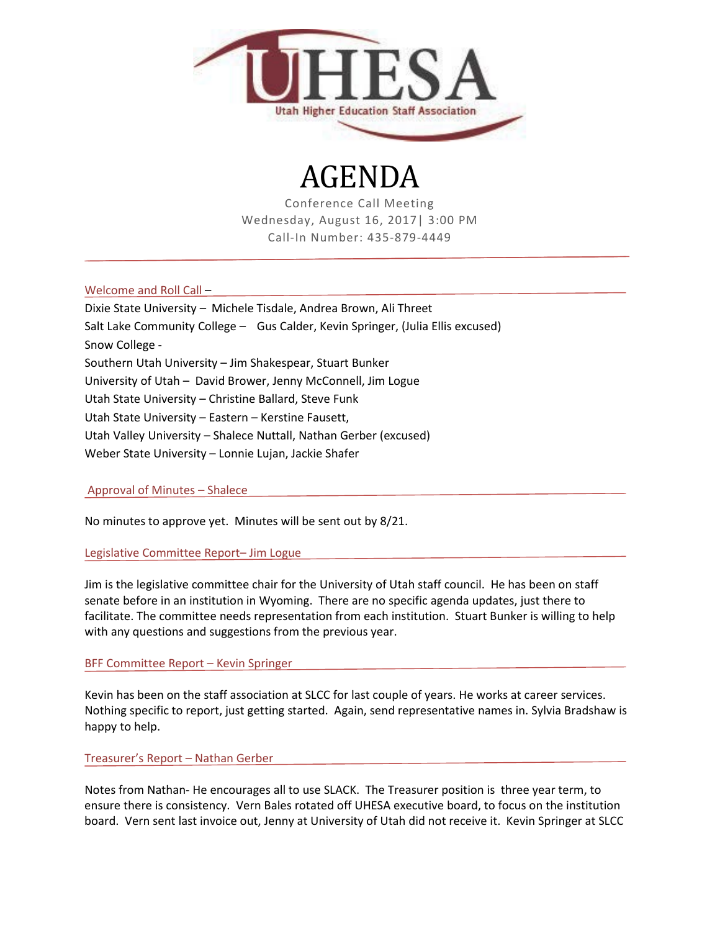

# AGENDA

Conference Call Meeting Wednesday, August 16, 2017| 3:00 PM Call-In Number: 435-879-4449

Welcome and Roll Call –

Dixie State University – Michele Tisdale, Andrea Brown, Ali Threet Salt Lake Community College – Gus Calder, Kevin Springer, (Julia Ellis excused) Snow College - Southern Utah University – Jim Shakespear, Stuart Bunker University of Utah – David Brower, Jenny McConnell, Jim Logue Utah State University – Christine Ballard, Steve Funk Utah State University – Eastern – Kerstine Fausett, Utah Valley University – Shalece Nuttall, Nathan Gerber (excused) Weber State University – Lonnie Lujan, Jackie Shafer

Approval of Minutes – Shalece

No minutes to approve yet. Minutes will be sent out by 8/21.

Legislative Committee Report– Jim Logue

Jim is the legislative committee chair for the University of Utah staff council. He has been on staff senate before in an institution in Wyoming. There are no specific agenda updates, just there to facilitate. The committee needs representation from each institution. Stuart Bunker is willing to help with any questions and suggestions from the previous year.

BFF Committee Report – Kevin Springer

Kevin has been on the staff association at SLCC for last couple of years. He works at career services. Nothing specific to report, just getting started. Again, send representative names in. Sylvia Bradshaw is happy to help.

Treasurer's Report – Nathan Gerber

Notes from Nathan- He encourages all to use SLACK. The Treasurer position is three year term, to ensure there is consistency. Vern Bales rotated off UHESA executive board, to focus on the institution board. Vern sent last invoice out, Jenny at University of Utah did not receive it. Kevin Springer at SLCC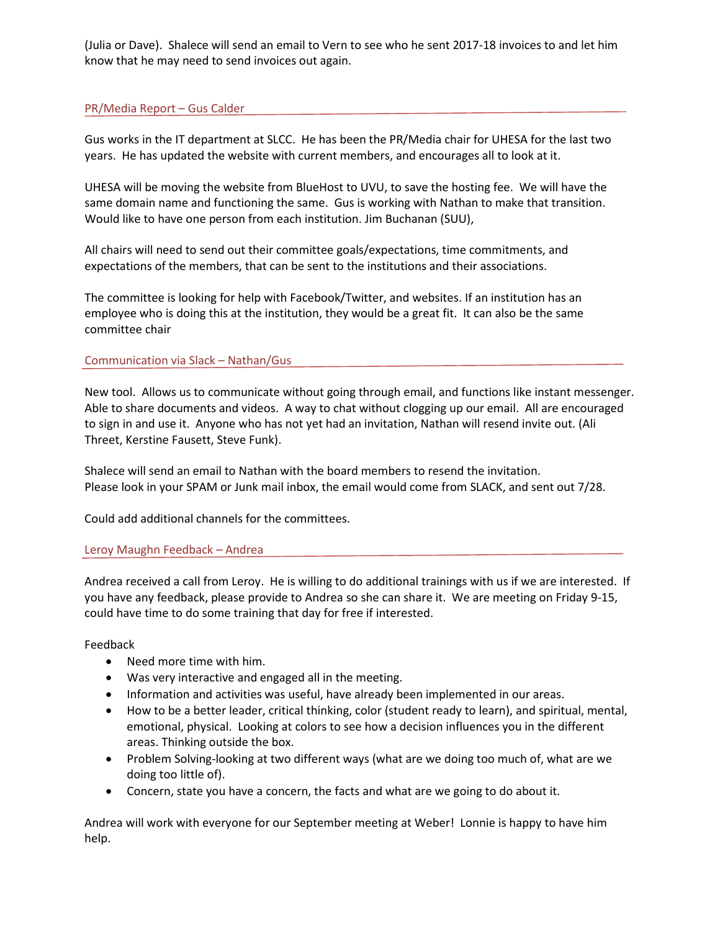(Julia or Dave). Shalece will send an email to Vern to see who he sent 2017-18 invoices to and let him know that he may need to send invoices out again.

## PR/Media Report – Gus Calder

Gus works in the IT department at SLCC. He has been the PR/Media chair for UHESA for the last two years. He has updated the website with current members, and encourages all to look at it.

UHESA will be moving the website from BlueHost to UVU, to save the hosting fee. We will have the same domain name and functioning the same. Gus is working with Nathan to make that transition. Would like to have one person from each institution. Jim Buchanan (SUU),

All chairs will need to send out their committee goals/expectations, time commitments, and expectations of the members, that can be sent to the institutions and their associations.

The committee is looking for help with Facebook/Twitter, and websites. If an institution has an employee who is doing this at the institution, they would be a great fit. It can also be the same committee chair

## Communication via Slack – Nathan/Gus

New tool. Allows us to communicate without going through email, and functions like instant messenger. Able to share documents and videos. A way to chat without clogging up our email. All are encouraged to sign in and use it. Anyone who has not yet had an invitation, Nathan will resend invite out. (Ali Threet, Kerstine Fausett, Steve Funk).

Shalece will send an email to Nathan with the board members to resend the invitation. Please look in your SPAM or Junk mail inbox, the email would come from SLACK, and sent out 7/28.

Could add additional channels for the committees.

## Leroy Maughn Feedback – Andrea

Andrea received a call from Leroy. He is willing to do additional trainings with us if we are interested. If you have any feedback, please provide to Andrea so she can share it. We are meeting on Friday 9-15, could have time to do some training that day for free if interested.

#### Feedback

- Need more time with him.
- Was very interactive and engaged all in the meeting.
- Information and activities was useful, have already been implemented in our areas.
- How to be a better leader, critical thinking, color (student ready to learn), and spiritual, mental, emotional, physical. Looking at colors to see how a decision influences you in the different areas. Thinking outside the box.
- Problem Solving-looking at two different ways (what are we doing too much of, what are we doing too little of).
- Concern, state you have a concern, the facts and what are we going to do about it.

Andrea will work with everyone for our September meeting at Weber! Lonnie is happy to have him help.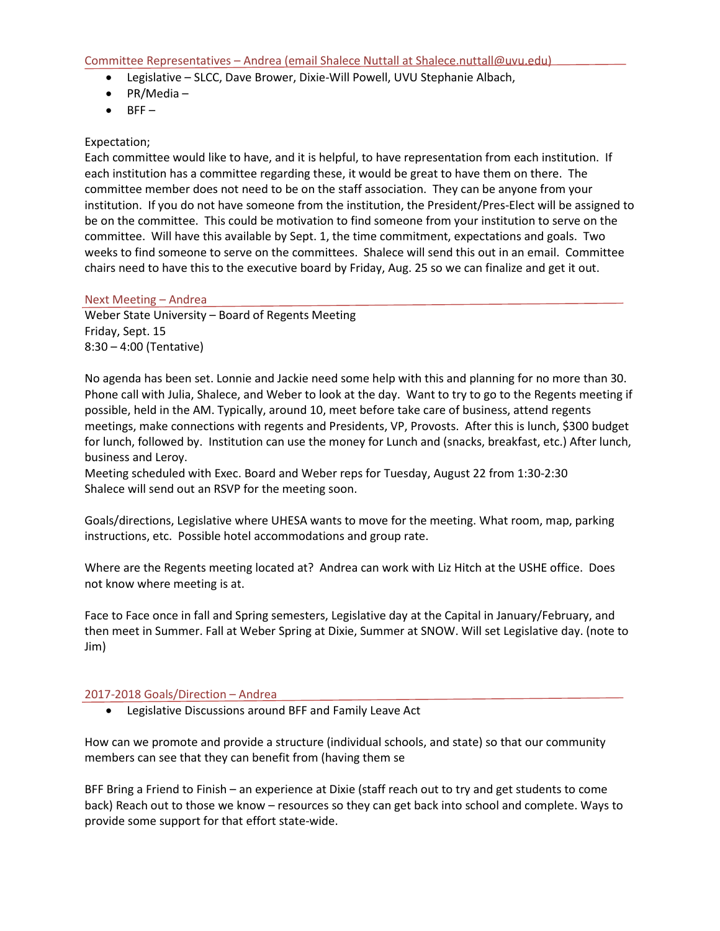- Legislative SLCC, Dave Brower, Dixie-Will Powell, UVU Stephanie Albach,
- PR/Media –
- $\bullet$  BFF $-$

## Expectation;

Each committee would like to have, and it is helpful, to have representation from each institution. If each institution has a committee regarding these, it would be great to have them on there. The committee member does not need to be on the staff association. They can be anyone from your institution. If you do not have someone from the institution, the President/Pres-Elect will be assigned to be on the committee. This could be motivation to find someone from your institution to serve on the committee. Will have this available by Sept. 1, the time commitment, expectations and goals. Two weeks to find someone to serve on the committees. Shalece will send this out in an email. Committee chairs need to have this to the executive board by Friday, Aug. 25 so we can finalize and get it out.

#### Next Meeting – Andrea

Weber State University – Board of Regents Meeting Friday, Sept. 15 8:30 – 4:00 (Tentative)

No agenda has been set. Lonnie and Jackie need some help with this and planning for no more than 30. Phone call with Julia, Shalece, and Weber to look at the day. Want to try to go to the Regents meeting if possible, held in the AM. Typically, around 10, meet before take care of business, attend regents meetings, make connections with regents and Presidents, VP, Provosts. After this is lunch, \$300 budget for lunch, followed by. Institution can use the money for Lunch and (snacks, breakfast, etc.) After lunch, business and Leroy.

Meeting scheduled with Exec. Board and Weber reps for Tuesday, August 22 from 1:30-2:30 Shalece will send out an RSVP for the meeting soon.

Goals/directions, Legislative where UHESA wants to move for the meeting. What room, map, parking instructions, etc. Possible hotel accommodations and group rate.

Where are the Regents meeting located at? Andrea can work with Liz Hitch at the USHE office. Does not know where meeting is at.

Face to Face once in fall and Spring semesters, Legislative day at the Capital in January/February, and then meet in Summer. Fall at Weber Spring at Dixie, Summer at SNOW. Will set Legislative day. (note to Jim)

#### 2017-2018 Goals/Direction – Andrea

• Legislative Discussions around BFF and Family Leave Act

How can we promote and provide a structure (individual schools, and state) so that our community members can see that they can benefit from (having them se

BFF Bring a Friend to Finish – an experience at Dixie (staff reach out to try and get students to come back) Reach out to those we know – resources so they can get back into school and complete. Ways to provide some support for that effort state-wide.